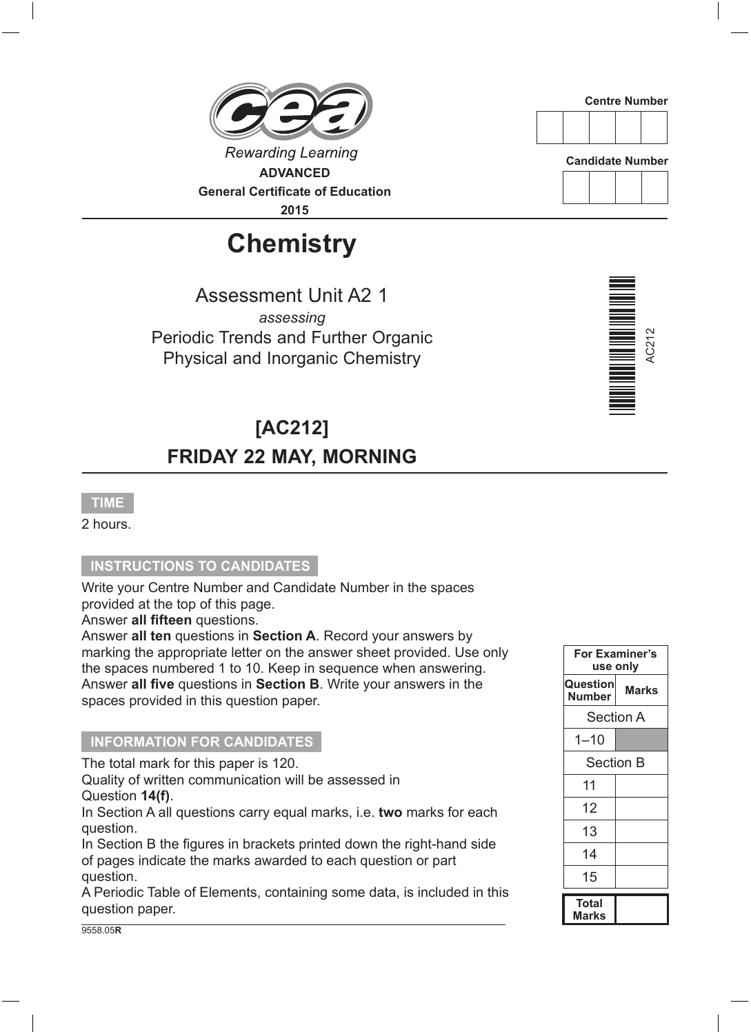**Rewarding Learning ADVANCED General Certificate of Education**

**2015**

## **Chemistry**

Assessment Unit A2 1 *assessing* Periodic Trends and Further Organic Physical and Inorganic Chemistry

### **[AC212] FRIDAY 22 MAY, MORNING**

#### **TIME**

2 hours.

#### **INSTRUCTIONS TO CANDIDATES**

Write your Centre Number and Candidate Number in the spaces provided at the top of this page.

Answer **all fifteen** questions.

Answer **all ten** questions in **Section A**. Record your answers by marking the appropriate letter on the answer sheet provided. Use only the spaces numbered 1 to 10. Keep in sequence when answering. Answer **all five** questions in **Section B**. Write your answers in the spaces provided in this question paper.

#### **INFORMATION FOR CANDIDATES**

The total mark for this paper is 120.

Quality of written communication will be assessed in Question **14(f)**.

In Section A all questions carry equal marks, i.e. **two** marks for each question.

In Section B the figures in brackets printed down the right-hand side of pages indicate the marks awarded to each question or part question.

A Periodic Table of Elements, containing some data, is included in this question paper.







**Candidate Number**



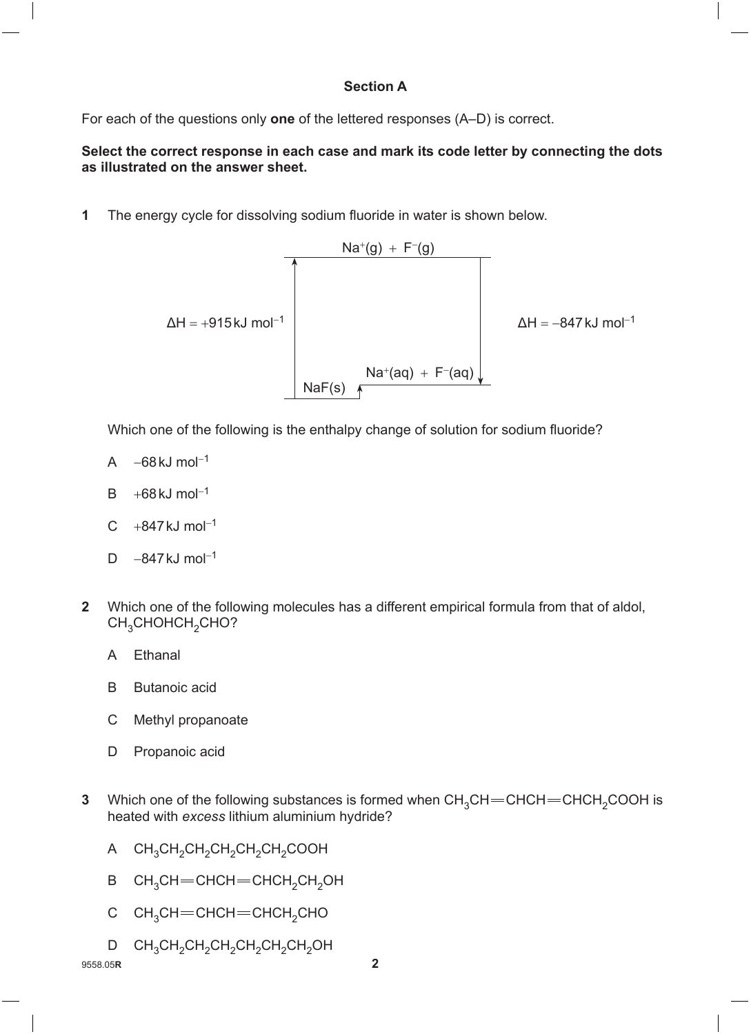#### **Section A**

For each of the questions only **one** of the lettered responses (A–D) is correct.

#### **Select the correct response in each case and mark its code letter by connecting the dots as illustrated on the answer sheet.**

**1** The energy cycle for dissolving sodium fluoride in water is shown below.



Which one of the following is the enthalpy change of solution for sodium fluoride?

- A  $-68$  kJ mol<sup>-1</sup>
- $B + 68kJ$  mol<sup>-1</sup>
- $C +847$  kJ mol<sup>-1</sup>
- D  $-847$  kJ mol<sup>-1</sup>
- **2** Which one of the following molecules has a different empirical formula from that of aldol, CH<sub>3</sub>CHOHCH<sub>2</sub>CHO?
	- A Ethanal
	- B Butanoic acid
	- C Methyl propanoate
	- D Propanoic acid
- **3** Which one of the following substances is formed when CH<sub>3</sub>CH = CHCH = CHCH<sub>2</sub>COOH is heated with *excess* lithium aluminium hydride?
	- A CH<sub>3</sub>CH<sub>2</sub>CH<sub>2</sub>CH<sub>2</sub>CH<sub>2</sub>COOH
	- B CH<sub>3</sub>CH=CHCH=CHCH<sub>2</sub>CH<sub>2</sub>OH
	- C CH<sub>3</sub>CH=CHCH=CHCH<sub>2</sub>CHO
	- D CH<sub>3</sub>CH<sub>2</sub>CH<sub>2</sub>CH<sub>2</sub>CH<sub>2</sub>CH<sub>2</sub>OH

9558.05**R 2**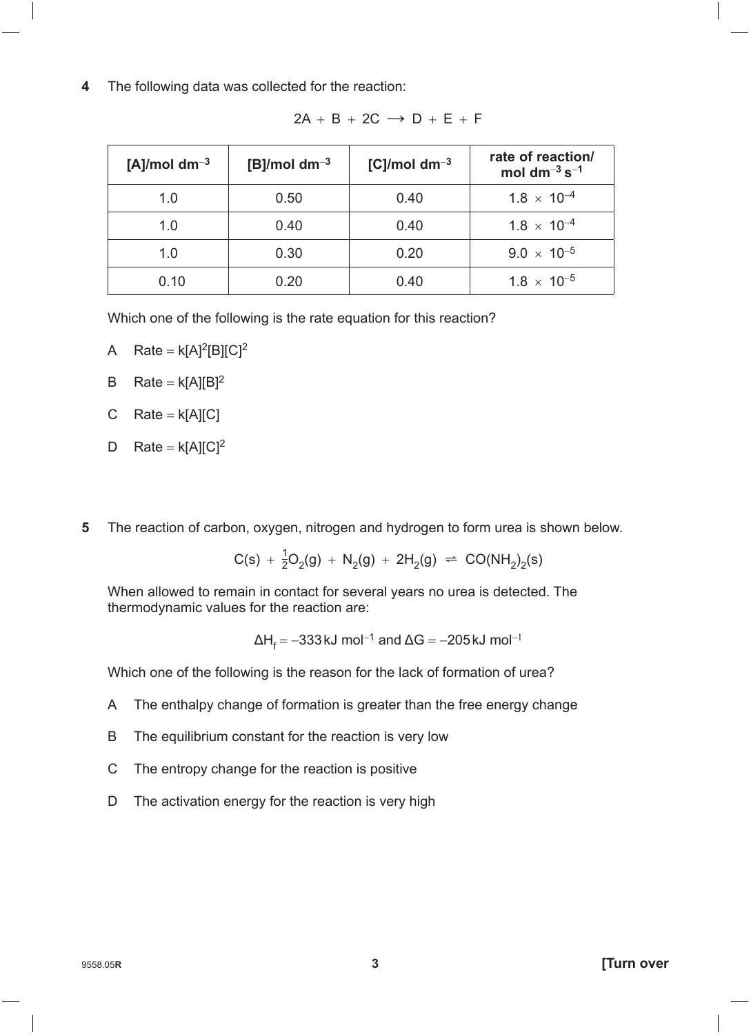**4** The following data was collected for the reaction:

| [A]/mol dm <sup>-3</sup> | [B]/mol dm <sup>-3</sup> | [C]/mol dm <sup>-3</sup> | rate of reaction/<br>mol $dm^{-3} s^{-1}$ |
|--------------------------|--------------------------|--------------------------|-------------------------------------------|
| 1.0                      | 0.50                     | 0.40                     | $1.8 \times 10^{-4}$                      |
| 1.0                      | 0.40                     | 0.40                     | $1.8 \times 10^{-4}$                      |
| 1.0                      | 0.30                     | 0.20                     | $9.0 \times 10^{-5}$                      |
| 0.10                     |                          | 0.40                     | $1.8 \times 10^{-5}$                      |

 $2A + B + 2C \rightarrow D + E + F$ 

Which one of the following is the rate equation for this reaction?

- A Rate =  $k[A]^2[B][C]^2$
- B Rate =  $k[A][B]^2$
- C  $Rate = k[A][C]$
- D Rate =  $k[A][C]^2$
- **5** The reaction of carbon, oxygen, nitrogen and hydrogen to form urea is shown below.

$$
C(s) + \frac{1}{2}O_2(g) + N_2(g) + 2H_2(g) \approx CO(NH_2)_2(s)
$$

When allowed to remain in contact for several years no urea is detected. The thermodynamic values for the reaction are:

$$
\Delta H_f = -333 \text{ kJ} \text{ mol}^{-1} \text{ and } \Delta G = -205 \text{ kJ} \text{ mol}^{-1}
$$

Which one of the following is the reason for the lack of formation of urea?

- A The enthalpy change of formation is greater than the free energy change
- B The equilibrium constant for the reaction is very low
- C The entropy change for the reaction is positive
- D The activation energy for the reaction is very high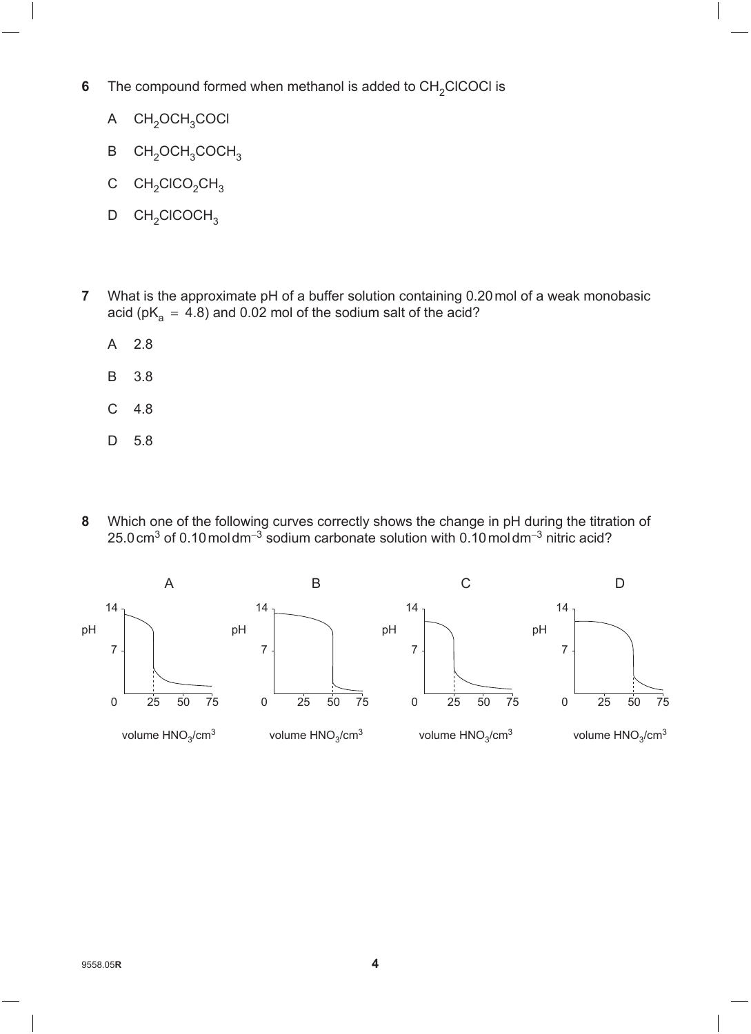- **6** The compound formed when methanol is added to  $CH_2CICOCI$  is
	- $A$   $CH_2OCH_3COCl$
	- B CH<sub>2</sub>OCH<sub>3</sub>COCH<sub>3</sub>
	- C  $CH<sub>2</sub>CICO<sub>2</sub>CH<sub>3</sub>$
	- $D$  CH<sub>2</sub>ClCOCH<sub>3</sub>
- **7** What is the approximate pH of a buffer solution containing 0.20 mol of a weak monobasic acid (pK<sub>a</sub> = 4.8) and 0.02 mol of the sodium salt of the acid?
	- A 2.8
	- B 3.8
	- C 4.8
	- D 5.8
- **8**  Which one of the following curves correctly shows the change in pH during the titration of 25.0cm<sup>3</sup> of 0.10 moldm<sup>-3</sup> sodium carbonate solution with 0.10 moldm<sup>-3</sup> nitric acid?

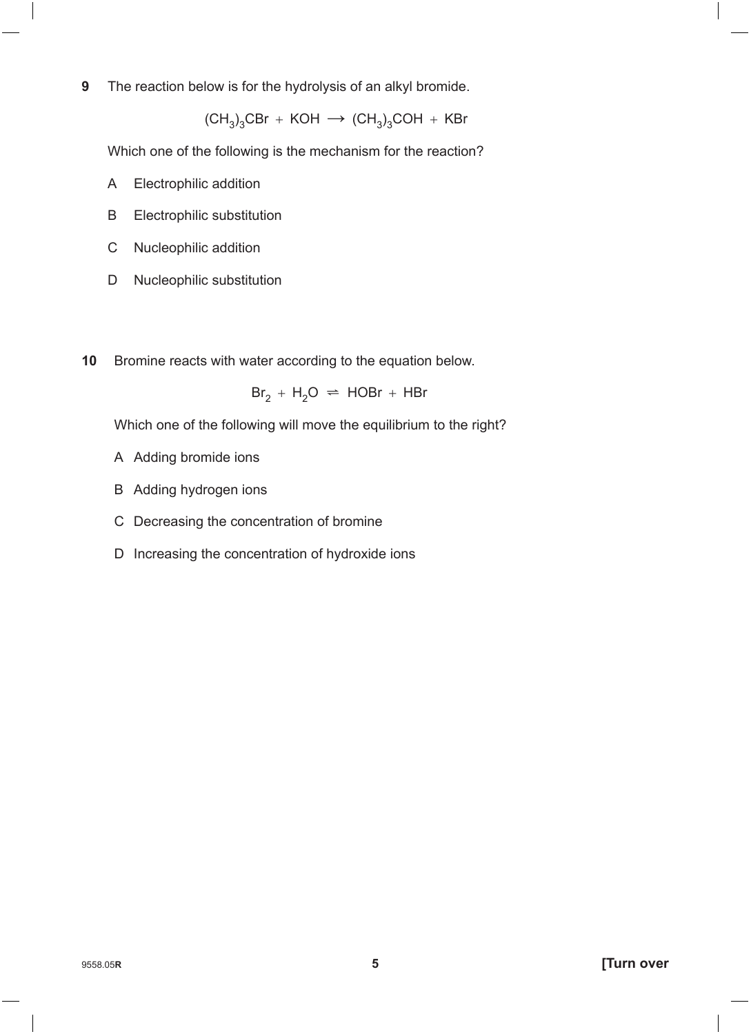**9** The reaction below is for the hydrolysis of an alkyl bromide.

 $(CH_3)_3$ CBr + KOH  $\rightarrow$  (CH<sub>3</sub>)<sub>3</sub>COH + KBr

Which one of the following is the mechanism for the reaction?

- A Electrophilic addition
- B Electrophilic substitution
- C Nucleophilic addition
- D Nucleophilic substitution
- **10** Bromine reacts with water according to the equation below.

 $Br_2 + H_2O \rightleftharpoons HOBr + HBr$ 

Which one of the following will move the equilibrium to the right?

- A Adding bromide ions
- B Adding hydrogen ions
- C Decreasing the concentration of bromine
- D Increasing the concentration of hydroxide ions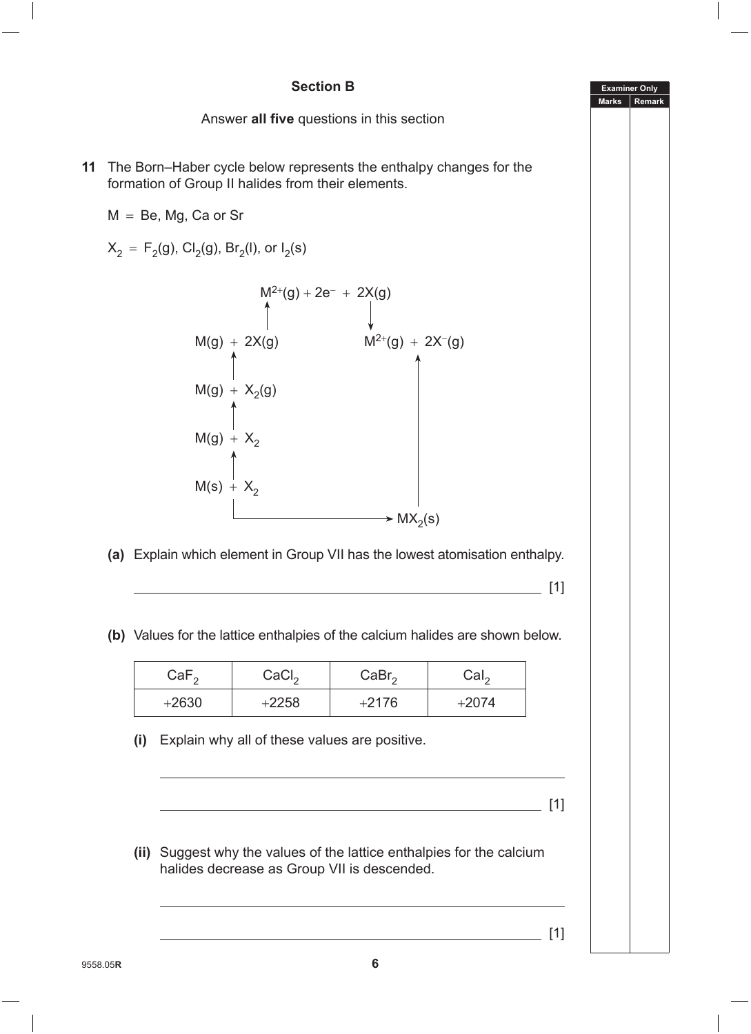# **Examiner Only Marks Remark Section B** Answer **all five** questions in this section **11** The Born–Haber cycle below represents the enthalpy changes for the formation of Group II halides from their elements.  $M = Be$ , Mg, Ca or Sr  $X_2 = F_2(g)$ , Cl<sub>2</sub>(g), Br<sub>2</sub>(l), or l<sub>2</sub>(s)  $M^{2+}(g) + 2e^- + 2X(g)$  $M(g) + 2X(g)$   $M^{2+}(g) + 2X^{-}(g)$  $M(g) + X<sub>2</sub>(g)$  $M(g) + X_2$  $M(s) + X_2$  $\rightarrow$  MX<sub>2</sub>(s) **(a)** Explain which element in Group VII has the lowest atomisation enthalpy.  $\overline{\phantom{a}}$  [1] **(b)** Values for the lattice enthalpies of the calcium halides are shown below.  $CaF<sub>2</sub>$  CaCl<sub>2</sub> CaBr<sub>2</sub> CaI<sub>2</sub>  $+2630$  +2258 +2176 +2074 **(i)** Explain why all of these values are positive. [1] **(ii)** Suggest why the values of the lattice enthalpies for the calcium halides decrease as Group VII is descended.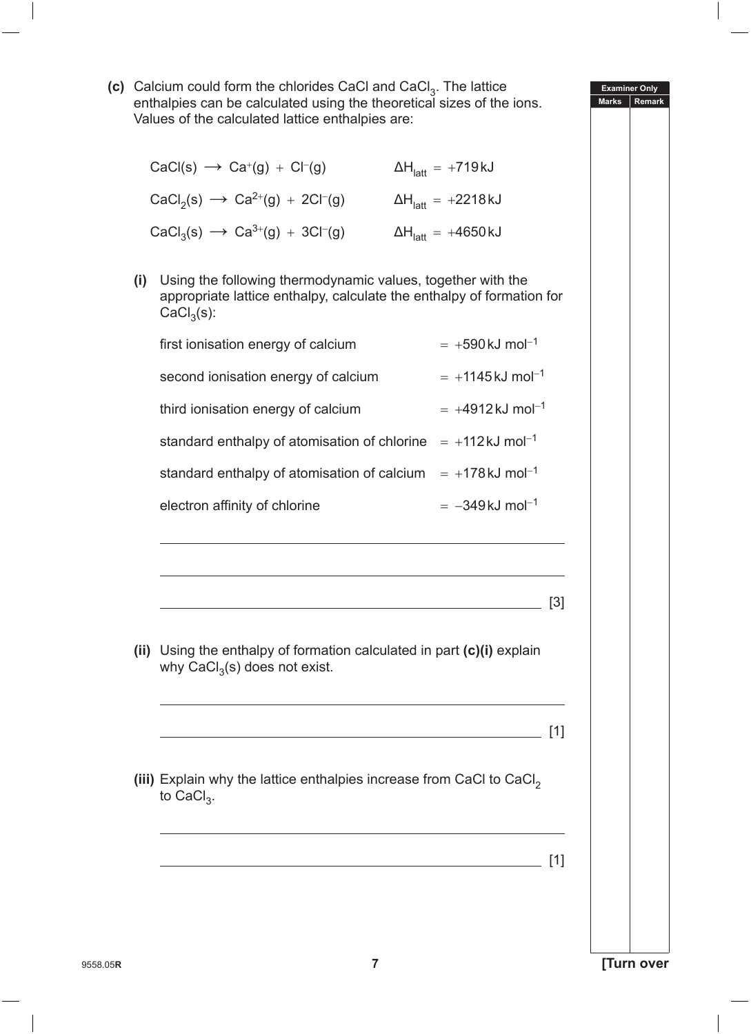**(c)** Calcium could form the chlorides CaCl and CaCl<sub>3</sub>. The lattice enthalpies can be calculated using the theoretical sizes of the ions. Values of the calculated lattice enthalpies are:

| $CaCl(s) \rightarrow Ca^{+}(g) + Cl^{-}(g)$ | $\Delta H_{\text{latt}} = +719 \text{ kJ}$  |
|---------------------------------------------|---------------------------------------------|
| $CaCl2(s) \rightarrow Ca2+(g) + 2Cl-(g)$    | $\Delta H_{\text{latt}} = +2218 \text{ kJ}$ |
| $CaCl3(s) \rightarrow Ca3+(g) + 3Cl-(g)$    | $\Delta H$ <sub>latt</sub> = +4650 kJ       |

**(i)** Using the following thermodynamic values, together with the appropriate lattice enthalpy, calculate the enthalpy of formation for  $CaCl<sub>3</sub>(s)$ :

| first ionisation energy of calcium  | $= +590 \text{ kJ} \text{ mol}^{-1}$  |
|-------------------------------------|---------------------------------------|
| second ionisation energy of calcium | $= +1145 \text{ kJ} \text{ mol}^{-1}$ |

third ionisation energy of calcium  $= +4912 \text{ kJ} \text{ mol}^{-1}$ 

standard enthalpy of atomisation of chlorine =  $+112 \text{ kJ}$  mol<sup>-1</sup> standard enthalpy of atomisation of calcium =  $+178$ kJ mol<sup>-1</sup>

electron affinity of chlorine  $= -349 \text{ kJ} \text{ mol}^{-1}$ 

**(ii)** Using the enthalpy of formation calculated in part **(c)(i)** explain why  $CaCl<sub>3</sub>(s)$  does not exist.

[3]

<u>[1]</u> [1] **[1]** [1] **[1]** [1] **[1]** [1] **[1]** [1] **[1]** [1] **[1]** [1] **[1]** 

(iii) Explain why the lattice enthalpies increase from CaCl to CaCl<sub>2</sub> to CaCl<sub>3</sub>.

[1]

**Examiner Only Marks Rema**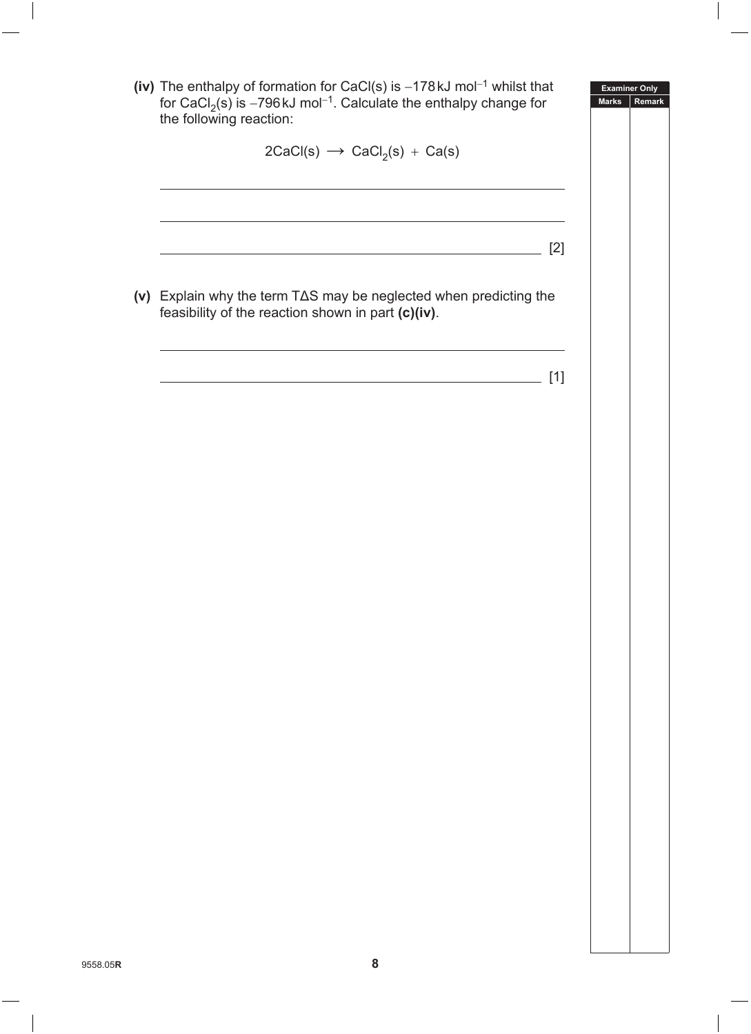|          | (iv) The enthalpy of formation for CaCl(s) is $-178$ kJ mol <sup>-1</sup> whilst that<br>for CaCl <sub>2</sub> (s) is -796 kJ mol <sup>-1</sup> . Calculate the enthalpy change for<br>the following reaction: | <b>Examiner Only</b><br><b>Marks</b><br>Remark |
|----------|----------------------------------------------------------------------------------------------------------------------------------------------------------------------------------------------------------------|------------------------------------------------|
|          | $2CaCl(s) \rightarrow CaCl_2(s) + Ca(s)$                                                                                                                                                                       |                                                |
|          | $[2]$                                                                                                                                                                                                          |                                                |
|          | (v) Explain why the term T $\Delta S$ may be neglected when predicting the<br>feasibility of the reaction shown in part (c)(iv).                                                                               |                                                |
|          | $[1]$                                                                                                                                                                                                          |                                                |
|          |                                                                                                                                                                                                                |                                                |
|          |                                                                                                                                                                                                                |                                                |
|          |                                                                                                                                                                                                                |                                                |
|          |                                                                                                                                                                                                                |                                                |
|          |                                                                                                                                                                                                                |                                                |
|          |                                                                                                                                                                                                                |                                                |
|          |                                                                                                                                                                                                                |                                                |
|          |                                                                                                                                                                                                                |                                                |
| 9558.05R | 8                                                                                                                                                                                                              |                                                |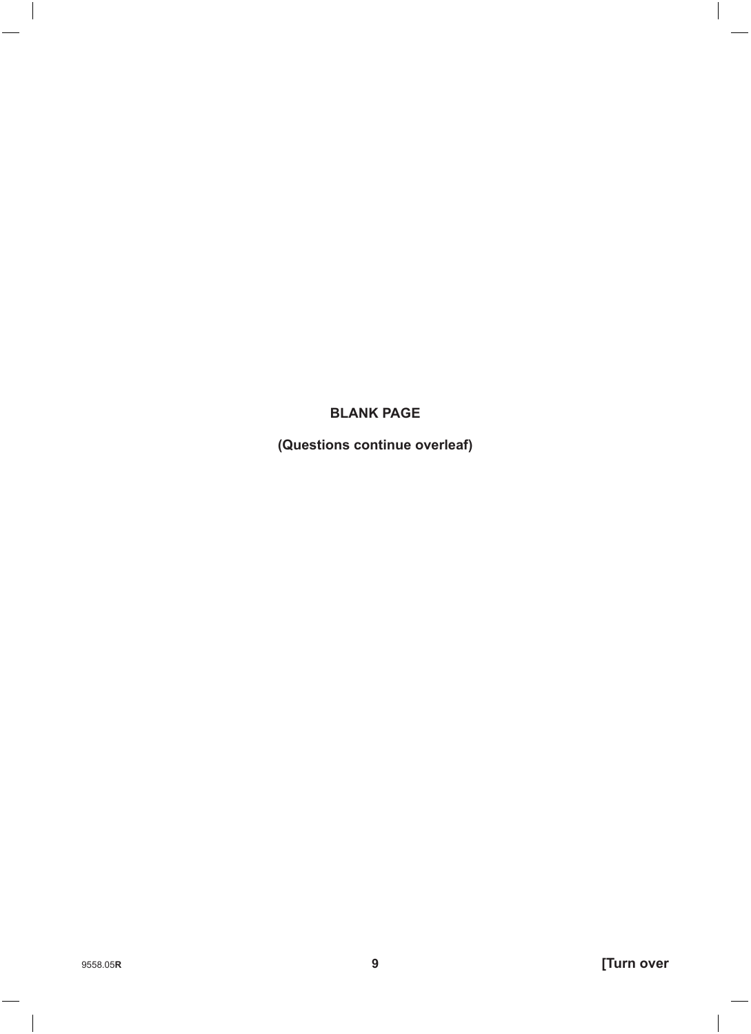#### **BLANK PAGE**

(Questions continue overleaf)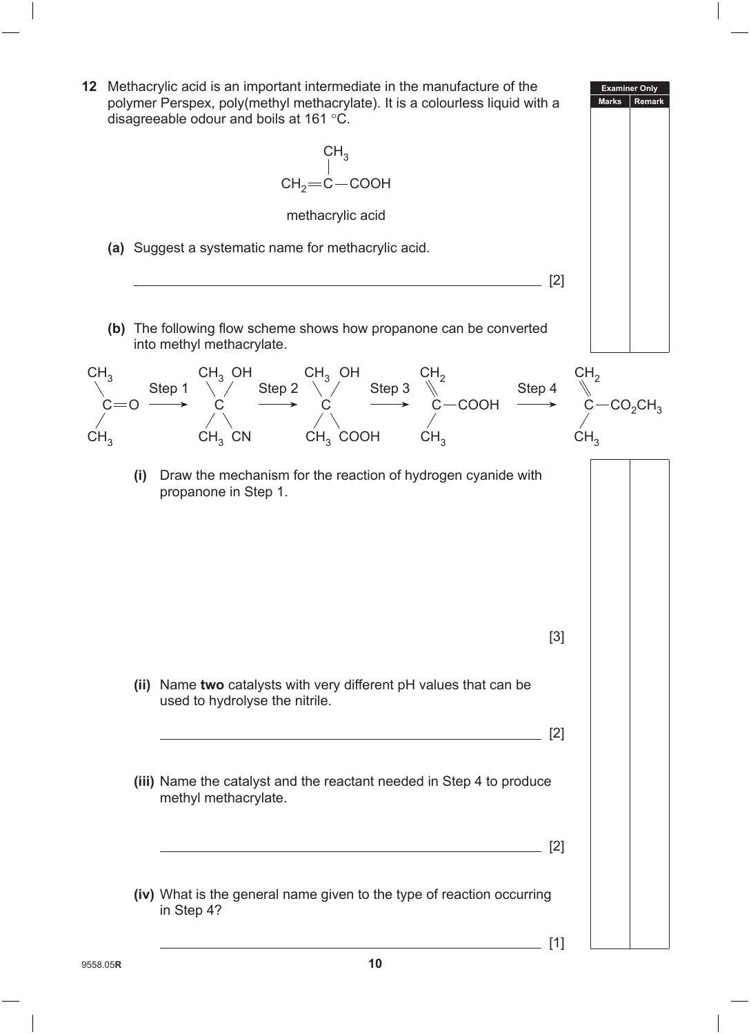**12** Methacrylic acid is an important intermediate in the manufacture of the polymer Perspex, poly(methyl methacrylate). It is a colourless liquid with a disagreeable odour and boils at 161 °C.



- **(ii)** Name **two** catalysts with very different pH values that can be used to hydrolyse the nitrile.
- **(iii)** Name the catalyst and the reactant needed in Step 4 to produce methyl methacrylate.
- **(iv)** What is the general name given to the type of reaction occurring in Step 4?

 $\sqrt{2}$ 

 $\sqrt{2}$ 

**Examiner Only Marks Remark**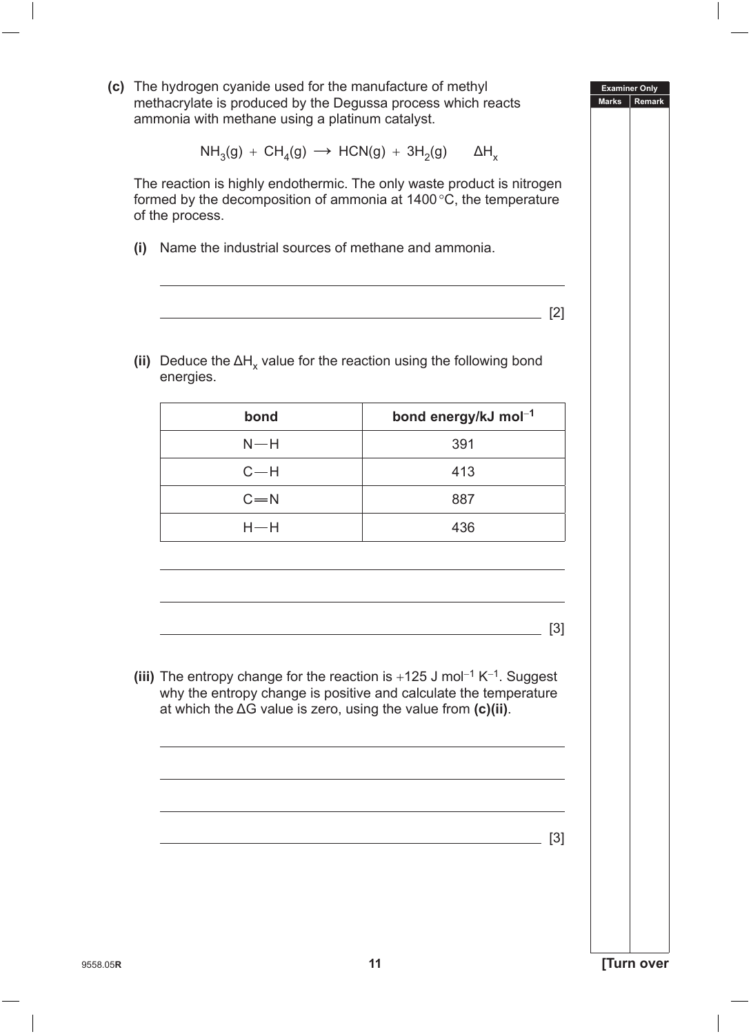**(c)** The hydrogen cyanide used for the manufacture of methyl methacrylate is produced by the Degussa process which reacts ammonia with methane using a platinum catalyst.

$$
\text{NH}_3(\text{g}) + \text{CH}_4(\text{g}) \longrightarrow \text{HCN}(\text{g}) + 3\text{H}_2(\text{g}) \qquad \Delta\text{H}_\text{x}
$$

 The reaction is highly endothermic. The only waste product is nitrogen formed by the decomposition of ammonia at 1400°C, the temperature of the process.

**(i)** Name the industrial sources of methane and ammonia.

[2]

**Examiner Only Marks Rem** 

(ii) Deduce the  $\Delta H_x$  value for the reaction using the following bond energies.

| bond    | bond energy/kJ mol <sup>-1</sup> |
|---------|----------------------------------|
| $N-H$   | 391                              |
| $C-H$   | 413                              |
| $C = N$ | 887                              |
| $H$ —H  | 436                              |

[3]

**(iii)** The entropy change for the reaction is +125 J mol<sup>−</sup>1 K<sup>−</sup>1. Suggest why the entropy change is positive and calculate the temperature at which the ΔG value is zero, using the value from **(c)(ii)**.

<u>[3]</u> [3] **[3]**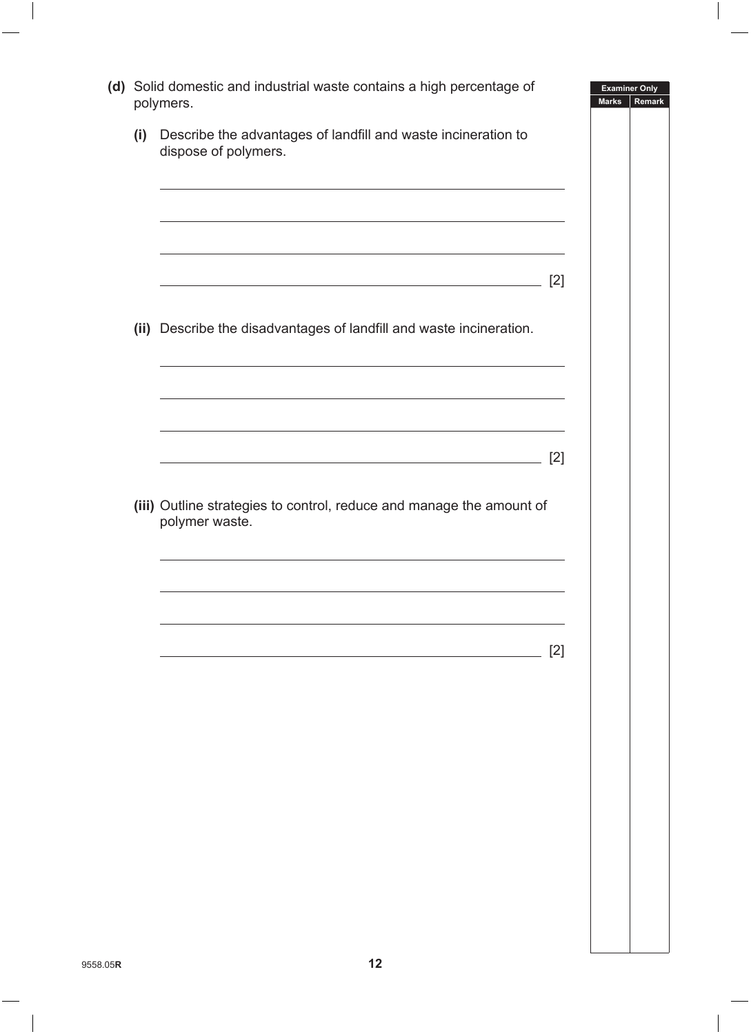|     | (d) Solid domestic and industrial waste contains a high percentage of<br>polymers.     |       | <b>Examiner Only</b><br><b>Marks</b> | Remark |
|-----|----------------------------------------------------------------------------------------|-------|--------------------------------------|--------|
| (i) | Describe the advantages of landfill and waste incineration to<br>dispose of polymers.  |       |                                      |        |
|     |                                                                                        |       |                                      |        |
|     |                                                                                        | $[2]$ |                                      |        |
|     | (ii) Describe the disadvantages of landfill and waste incineration.                    |       |                                      |        |
|     | <u> 1989 - Johann Stoff, amerikansk politiker (* 1908)</u>                             |       |                                      |        |
|     |                                                                                        | $[2]$ |                                      |        |
|     | (iii) Outline strategies to control, reduce and manage the amount of<br>polymer waste. |       |                                      |        |
|     |                                                                                        |       |                                      |        |
|     |                                                                                        |       |                                      |        |
|     |                                                                                        | $[2]$ |                                      |        |
|     |                                                                                        |       |                                      |        |
|     |                                                                                        |       |                                      |        |
|     |                                                                                        |       |                                      |        |
|     |                                                                                        |       |                                      |        |
|     |                                                                                        |       |                                      |        |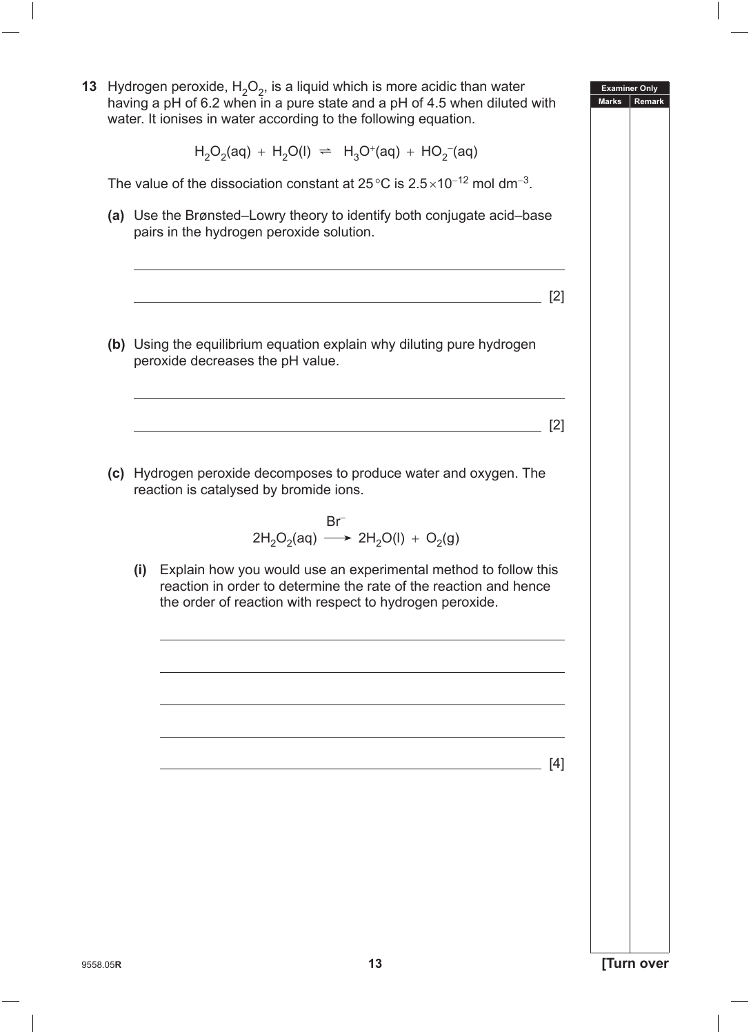**Examiner Only Marks Remark 13** Hydrogen peroxide,  $H_2O_2$ , is a liquid which is more acidic than water having a pH of 6.2 when in a pure state and a pH of 4.5 when diluted with water. It ionises in water according to the following equation.  $H_2O_2(aq) + H_2O(l) \implies H_3O^+(aq) + HO_2^-(aq)$ The value of the dissociation constant at 25 °C is  $2.5 \times 10^{-12}$  mol dm<sup>-3</sup>. **(a)** Use the Brønsted–Lowry theory to identify both conjugate acid–base pairs in the hydrogen peroxide solution. [2] **(b)** Using the equilibrium equation explain why diluting pure hydrogen peroxide decreases the pH value. [2] **(c)**  Hydrogen peroxide decomposes to produce water and oxygen. The reaction is catalysed by bromide ions. Br<sup>−</sup>  $2H_2O_2(aq) \longrightarrow 2H_2O(l) + O_2(q)$ **(i)** Explain how you would use an experimental method to follow this reaction in order to determine the rate of the reaction and hence the order of reaction with respect to hydrogen peroxide. [4]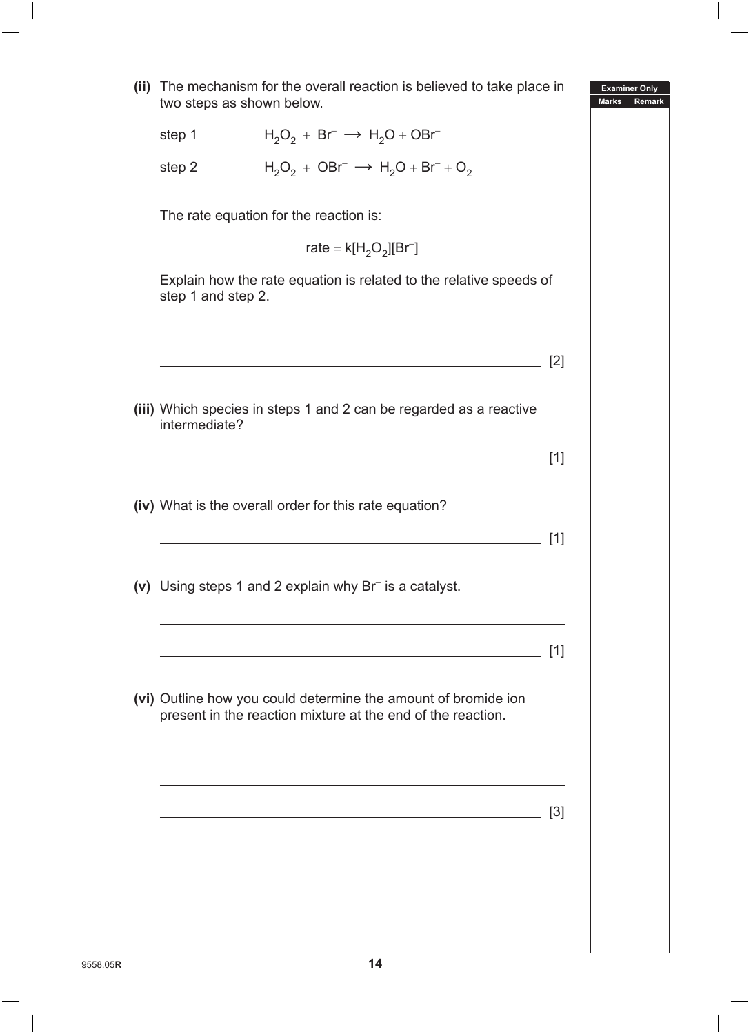**Examiner Only Marks Remark (ii)** The mechanism for the overall reaction is believed to take place in two steps as shown below. step 1  $H_2O_2 + Br^- \rightarrow H_2O + OBr^$ step 2  $H_2O_2 + OBr^- \rightarrow H_2O + Br^- + O_2$ The rate equation for the reaction is:  $rate = k[H<sub>2</sub>O<sub>2</sub>][Br<sup>-</sup>]$  Explain how the rate equation is related to the relative speeds of step 1 and step 2. <u>. [2]</u> **(iii)** Which species in steps 1 and 2 can be regarded as a reactive intermediate? [1] **(iv)** What is the overall order for this rate equation? [1] **(v)** Using steps 1 and 2 explain why Br<sup>−</sup> is a catalyst. [1] **(vi)** Outline how you could determine the amount of bromide ion present in the reaction mixture at the end of the reaction. [3]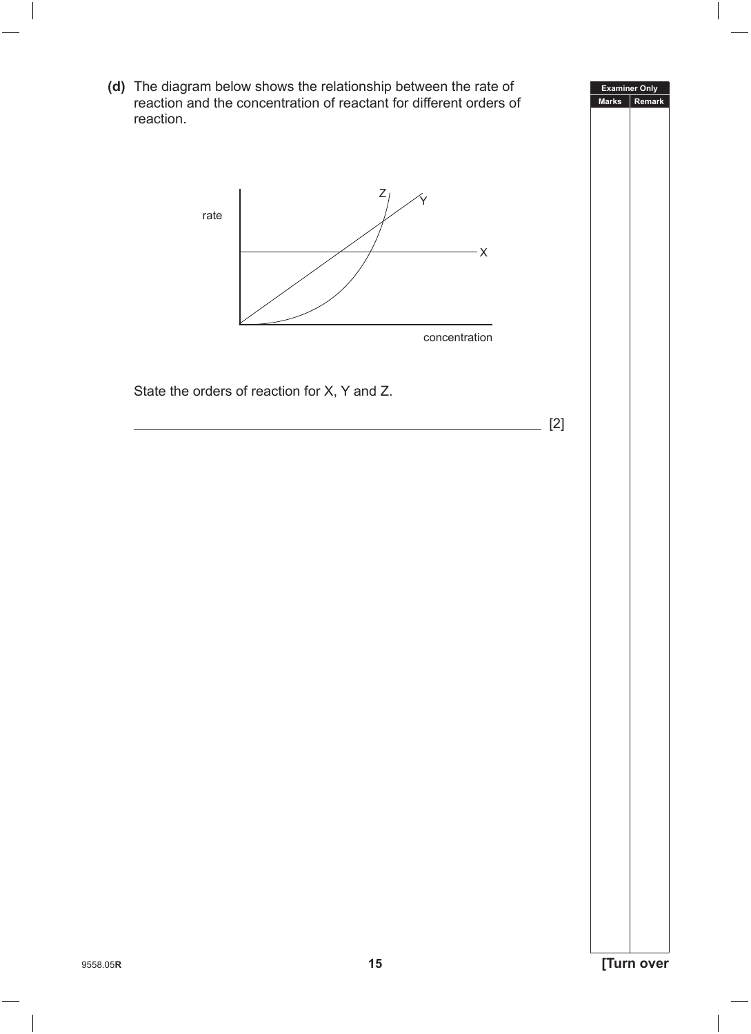**Examiner Only Marks Remark** 9558.05**<sup>R</sup> 15 [Turn over (d)** The diagram below shows the relationship between the rate of reaction and the concentration of reactant for different orders of reaction.  $Z_{l}$  $-\times$ Y rate concentration State the orders of reaction for X, Y and Z. [2]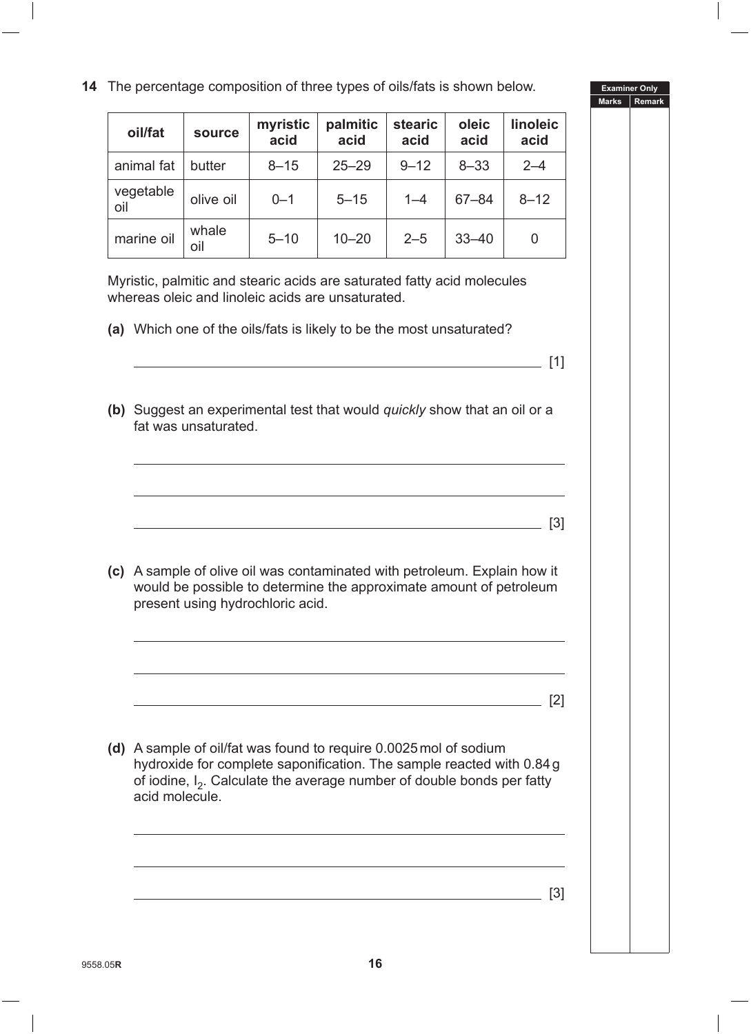**14** The percentage composition of three types of oils/fats is shown below.

**palmitic acid**

animal fat | butter | 8–15 | 25–29 | 9–12 | 8–33 | 2–4

oil olive oil 0–1 5–15 1–4 67–84 8–12

**stearic acid**

**oleic acid**

**linoleic acid**

**acid**

**oil/fat source myristic** 

vegetable

|              | <b>Examiner Only</b>                                                                                                     |
|--------------|--------------------------------------------------------------------------------------------------------------------------|
| <b>Marks</b> | Remark<br>and the state of the state of the state of the state of the state of the state of the state of the state of th |
|              |                                                                                                                          |
|              |                                                                                                                          |
|              |                                                                                                                          |
|              |                                                                                                                          |
|              |                                                                                                                          |
|              |                                                                                                                          |
|              |                                                                                                                          |
|              |                                                                                                                          |
|              |                                                                                                                          |
|              |                                                                                                                          |
|              |                                                                                                                          |
|              |                                                                                                                          |
|              |                                                                                                                          |
|              |                                                                                                                          |
|              |                                                                                                                          |
|              |                                                                                                                          |
|              |                                                                                                                          |
|              |                                                                                                                          |
|              |                                                                                                                          |

|     | marine oil     | whale<br>oil         | $5 - 10$                         | $10 - 20$                                                                                                                                                                                                                    | $2 - 5$ | $33 - 40$ | 0                 |
|-----|----------------|----------------------|----------------------------------|------------------------------------------------------------------------------------------------------------------------------------------------------------------------------------------------------------------------------|---------|-----------|-------------------|
|     |                |                      |                                  | Myristic, palmitic and stearic acids are saturated fatty acid molecules<br>whereas oleic and linoleic acids are unsaturated.                                                                                                 |         |           |                   |
|     |                |                      |                                  | (a) Which one of the oils/fats is likely to be the most unsaturated?                                                                                                                                                         |         |           |                   |
|     |                |                      |                                  |                                                                                                                                                                                                                              |         |           | [1]               |
|     |                | fat was unsaturated. |                                  | (b) Suggest an experimental test that would <i>quickly</i> show that an oil or a                                                                                                                                             |         |           |                   |
|     |                |                      |                                  |                                                                                                                                                                                                                              |         |           | $\lceil 3 \rceil$ |
| (c) |                |                      | present using hydrochloric acid. | A sample of olive oil was contaminated with petroleum. Explain how it<br>would be possible to determine the approximate amount of petroleum                                                                                  |         |           |                   |
|     |                |                      |                                  |                                                                                                                                                                                                                              |         |           | [2]               |
| (d) | acid molecule. |                      |                                  | A sample of oil/fat was found to require 0.0025 mol of sodium<br>hydroxide for complete saponification. The sample reacted with 0.84 g<br>of iodine, I <sub>2</sub> . Calculate the average number of double bonds per fatty |         |           |                   |
|     |                |                      |                                  |                                                                                                                                                                                                                              |         |           | $[3]$             |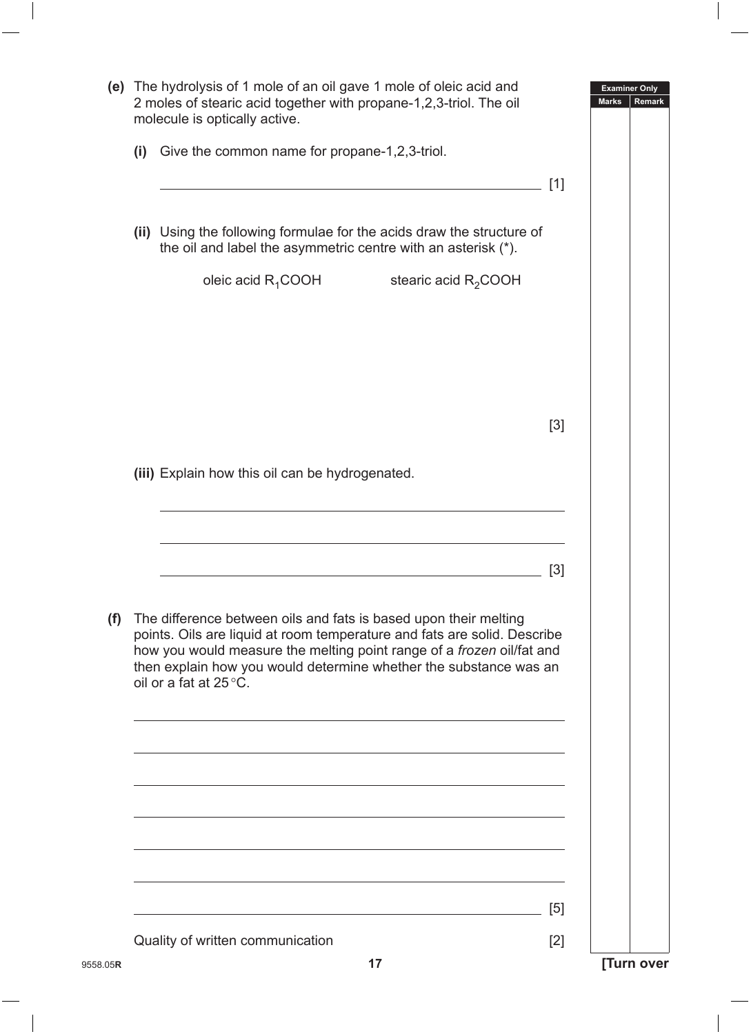|          |     | (e) The hydrolysis of 1 mole of an oil gave 1 mole of oleic acid and<br>2 moles of stearic acid together with propane-1,2,3-triol. The oil<br>molecule is optically active.                                                                                                                                          |       | <b>Examiner Only</b><br><b>Marks</b><br>Remark |
|----------|-----|----------------------------------------------------------------------------------------------------------------------------------------------------------------------------------------------------------------------------------------------------------------------------------------------------------------------|-------|------------------------------------------------|
|          | (i) | Give the common name for propane-1,2,3-triol.                                                                                                                                                                                                                                                                        |       |                                                |
|          |     |                                                                                                                                                                                                                                                                                                                      | [1]   |                                                |
|          |     | (ii) Using the following formulae for the acids draw the structure of<br>the oil and label the asymmetric centre with an asterisk (*).                                                                                                                                                                               |       |                                                |
|          |     | oleic acid $R_1$ COOH stearic acid $R_2$ COOH                                                                                                                                                                                                                                                                        |       |                                                |
|          |     |                                                                                                                                                                                                                                                                                                                      |       |                                                |
|          |     |                                                                                                                                                                                                                                                                                                                      |       |                                                |
|          |     |                                                                                                                                                                                                                                                                                                                      | $[3]$ |                                                |
|          |     | (iii) Explain how this oil can be hydrogenated.                                                                                                                                                                                                                                                                      |       |                                                |
|          |     |                                                                                                                                                                                                                                                                                                                      |       |                                                |
|          |     |                                                                                                                                                                                                                                                                                                                      | $[3]$ |                                                |
| (f)      |     | The difference between oils and fats is based upon their melting<br>points. Oils are liquid at room temperature and fats are solid. Describe<br>how you would measure the melting point range of a frozen oil/fat and<br>then explain how you would determine whether the substance was an<br>oil or a fat at 25 °C. |       |                                                |
|          |     |                                                                                                                                                                                                                                                                                                                      |       |                                                |
|          |     |                                                                                                                                                                                                                                                                                                                      |       |                                                |
|          |     |                                                                                                                                                                                                                                                                                                                      |       |                                                |
|          |     |                                                                                                                                                                                                                                                                                                                      |       |                                                |
|          |     |                                                                                                                                                                                                                                                                                                                      | [5]   |                                                |
|          |     | Quality of written communication                                                                                                                                                                                                                                                                                     | $[2]$ |                                                |
| 9558.05R |     | 17                                                                                                                                                                                                                                                                                                                   |       | [Turn over                                     |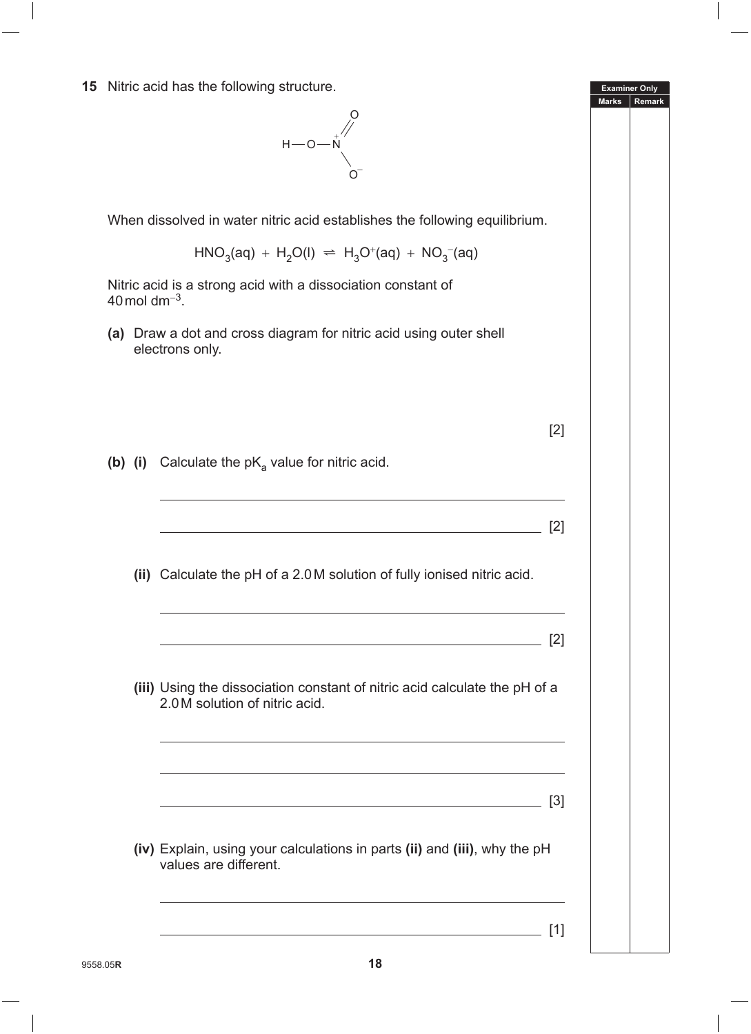**15** Nitric acid has the following structure.



When dissolved in water nitric acid establishes the following equilibrium.

 $HNO<sub>3</sub>(aq) + H<sub>2</sub>O(l) \Rightarrow H<sub>3</sub>O<sup>+</sup>(aq) + NO<sub>3</sub><sup>-</sup>(aq)$ 

Nitric acid is a strong acid with a dissociation constant of 40mol dm<sup>−</sup>3.

**(a)** Draw a dot and cross diagram for nitric acid using outer shell electrons only.

| ٠ |  |
|---|--|
|   |  |

[1]

**Examiner Only Marks Rem** 

**(b)** (i) Calculate the pK<sub>a</sub> value for nitric acid.

| (ii) Calculate the pH of a 2.0M solution of fully ionised nitric acid.                                                                                                     |
|----------------------------------------------------------------------------------------------------------------------------------------------------------------------------|
|                                                                                                                                                                            |
|                                                                                                                                                                            |
| (iii) Using the dissociation constant of nitric acid calculate the pH of a<br>2.0 M solution of nitric acid.<br><u> 1989 - Johann Stoff, amerikansk politiker (* 1908)</u> |
| <u> 1989 - Johann Stoff, amerikansk politiker (d. 1989)</u><br><u> 1989 - Johann Barbara, martxa al III-lea (h. 1989).</u>                                                 |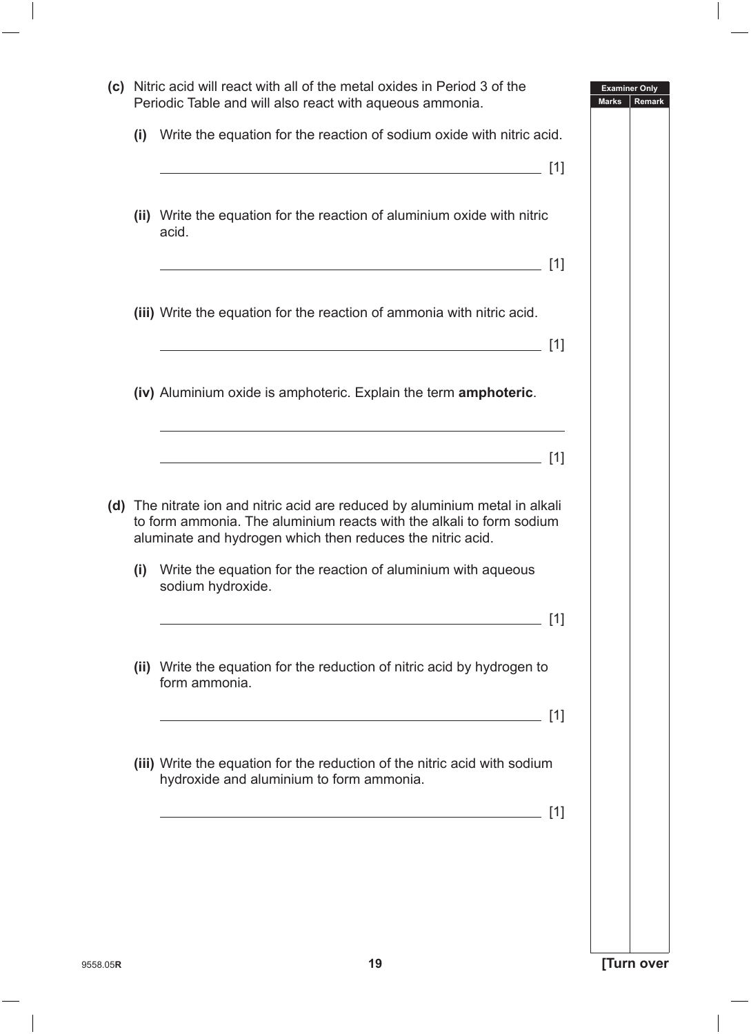|     | Periodic Table and will also react with aqueous ammonia.                                                                                                                                                           | <b>Marks</b><br><b>Remark</b> |
|-----|--------------------------------------------------------------------------------------------------------------------------------------------------------------------------------------------------------------------|-------------------------------|
| (i) | Write the equation for the reaction of sodium oxide with nitric acid.                                                                                                                                              |                               |
|     | (ii) Write the equation for the reaction of aluminium oxide with nitric<br>acid.                                                                                                                                   |                               |
|     |                                                                                                                                                                                                                    |                               |
|     | (iii) Write the equation for the reaction of ammonia with nitric acid.                                                                                                                                             |                               |
|     | <u> 1989 - Johann Stoff, deutscher Stoff, der Stoff, der Stoff, der Stoff, der Stoff, der Stoff, der Stoff, der S</u>                                                                                              | [1]                           |
|     | (iv) Aluminium oxide is amphoteric. Explain the term amphoteric.                                                                                                                                                   |                               |
|     | <u> 1989 - Johann Stoff, amerikansk politiker (d. 1989)</u>                                                                                                                                                        |                               |
|     | (d) The nitrate ion and nitric acid are reduced by aluminium metal in alkali<br>to form ammonia. The aluminium reacts with the alkali to form sodium<br>aluminate and hydrogen which then reduces the nitric acid. |                               |
| (i) | Write the equation for the reaction of aluminium with aqueous<br>sodium hydroxide.                                                                                                                                 |                               |
|     |                                                                                                                                                                                                                    | [1]                           |
|     | (ii) Write the equation for the reduction of nitric acid by hydrogen to<br>form ammonia.                                                                                                                           |                               |
|     |                                                                                                                                                                                                                    | [1]                           |
|     | (iii) Write the equation for the reduction of the nitric acid with sodium<br>hydroxide and aluminium to form ammonia.                                                                                              |                               |
|     |                                                                                                                                                                                                                    | [1]                           |
|     |                                                                                                                                                                                                                    |                               |
|     |                                                                                                                                                                                                                    |                               |
|     |                                                                                                                                                                                                                    |                               |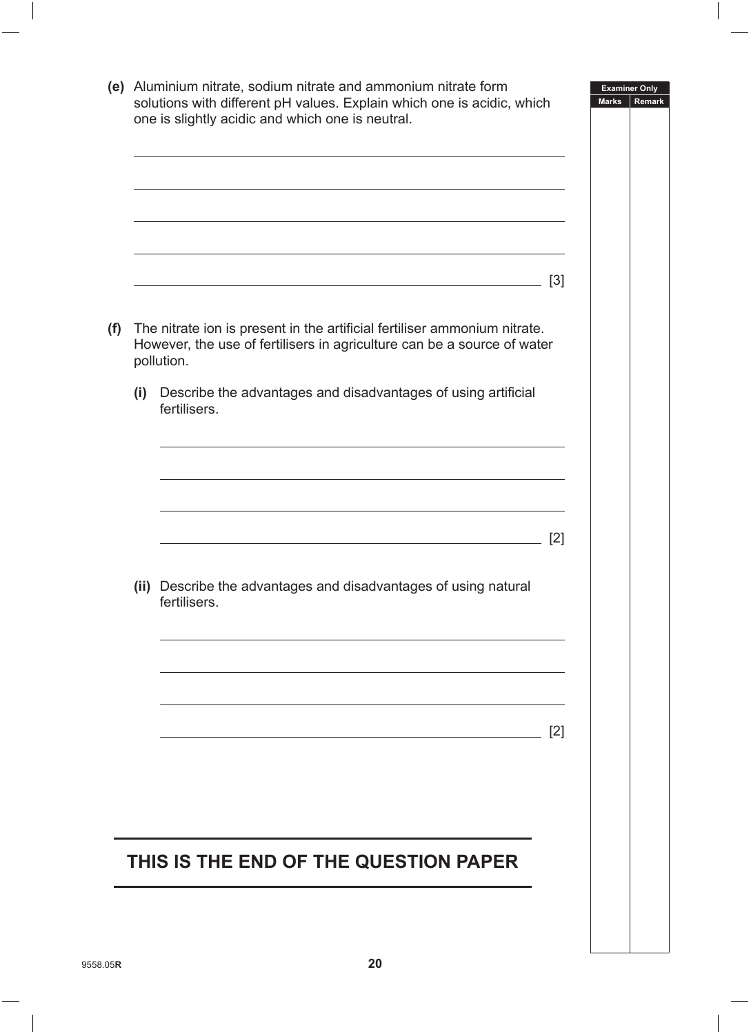| The nitrate ion is present in the artificial fertiliser ammonium nitrate.<br>However, the use of fertilisers in agriculture can be a source of water<br>pollution.<br>Describe the advantages and disadvantages of using artificial<br>fertilisers. | $[3]$<br>[2]                          |
|-----------------------------------------------------------------------------------------------------------------------------------------------------------------------------------------------------------------------------------------------------|---------------------------------------|
|                                                                                                                                                                                                                                                     |                                       |
|                                                                                                                                                                                                                                                     |                                       |
|                                                                                                                                                                                                                                                     |                                       |
|                                                                                                                                                                                                                                                     |                                       |
|                                                                                                                                                                                                                                                     |                                       |
|                                                                                                                                                                                                                                                     |                                       |
|                                                                                                                                                                                                                                                     |                                       |
|                                                                                                                                                                                                                                                     |                                       |
| (ii) Describe the advantages and disadvantages of using natural<br>fertilisers.                                                                                                                                                                     |                                       |
|                                                                                                                                                                                                                                                     |                                       |
|                                                                                                                                                                                                                                                     | [2]                                   |
|                                                                                                                                                                                                                                                     |                                       |
|                                                                                                                                                                                                                                                     |                                       |
|                                                                                                                                                                                                                                                     |                                       |
|                                                                                                                                                                                                                                                     | THIS IS THE END OF THE QUESTION PAPER |